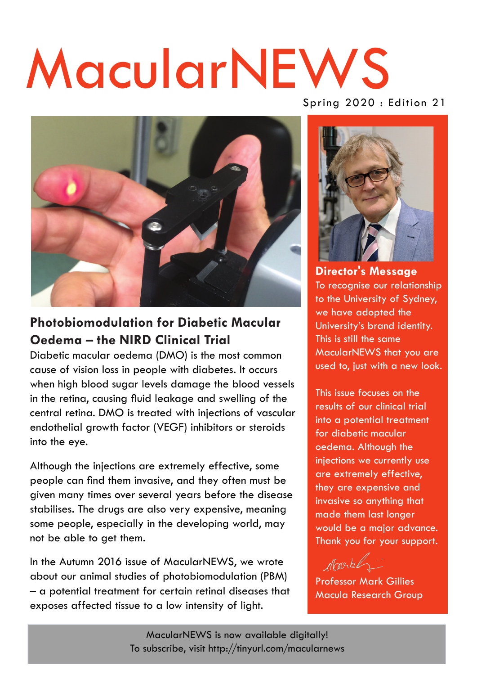# MacularNEWS



### **Photobiomodulation for Diabetic Macular Oedema – the NIRD Clinical Trial**

Diabetic macular oedema (DMO) is the most common cause of vision loss in people with diabetes. It occurs when high blood sugar levels damage the blood vessels in the retina, causing fluid leakage and swelling of the central retina. DMO is treated with injections of vascular endothelial growth factor (VEGF) inhibitors or steroids into the eye.

Although the injections are extremely effective, some people can find them invasive, and they often must be given many times over several years before the disease stabilises. The drugs are also very expensive, meaning some people, especially in the developing world, may not be able to get them.

In the Autumn 2016 issue of MacularNEWS, we wrote about our animal studies of photobiomodulation (PBM) – a potential treatment for certain retinal diseases that exposes affected tissue to a low intensity of light.

Spring 2020 : Edition 21



**Director's Message**  To recognise our relationship to the University of Sydney, we have adopted the University's brand identity. This is still the same MacularNEWS that you are used to, just with a new look.

This issue focuses on the results of our clinical trial into a potential treatment for diabetic macular oedema. Although the injections we currently use are extremely effective, they are expensive and invasive so anything that made them last longer would be a major advance. Thank you for your support.

Novel

Professor Mark Gillies Macula Research Group

MacularNEWS is now available digitally! To subscribe, visit<http://tinyurl.com/macularnews>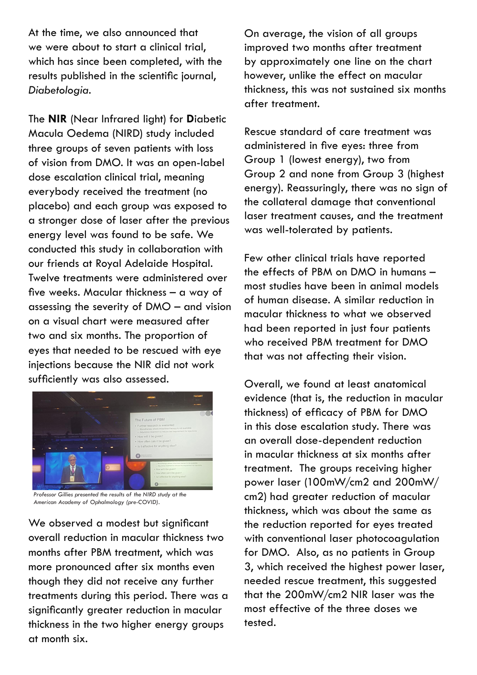At the time, we also announced that we were about to start a clinical trial, which has since been completed, with the results published in the scientific journal, *Diabetologia*.

The **NIR** (Near Infrared light) for **D**iabetic Macula Oedema (NIRD) study included three groups of seven patients with loss of vision from DMO. It was an open-label dose escalation clinical trial, meaning everybody received the treatment (no placebo) and each group was exposed to a stronger dose of laser after the previous energy level was found to be safe. We conducted this study in collaboration with our friends at Royal Adelaide Hospital. Twelve treatments were administered over five weeks. Macular thickness – a way of assessing the severity of DMO – and vision on a visual chart were measured after two and six months. The proportion of eyes that needed to be rescued with eye injections because the NIR did not work sufficiently was also assessed.



*Professor Gillies presented the results of the NIRD study at the American Academy of Ophalmology (pre-COVID).*

We observed a modest but significant overall reduction in macular thickness two months after PBM treatment, which was more pronounced after six months even though they did not receive any further treatments during this period. There was a significantly greater reduction in macular thickness in the two higher energy groups at month six.

On average, the vision of all groups improved two months after treatment by approximately one line on the chart however, unlike the effect on macular thickness, this was not sustained six months after treatment.

Rescue standard of care treatment was administered in five eyes: three from Group 1 (lowest energy), two from Group 2 and none from Group 3 (highest energy). Reassuringly, there was no sign of the collateral damage that conventional laser treatment causes, and the treatment was well-tolerated by patients.

Few other clinical trials have reported the effects of PBM on DMO in humans – most studies have been in animal models of human disease. A similar reduction in macular thickness to what we observed had been reported in just four patients who received PBM treatment for DMO that was not affecting their vision.

Overall, we found at least anatomical evidence (that is, the reduction in macular thickness) of efficacy of PBM for DMO in this dose escalation study. There was an overall dose-dependent reduction in macular thickness at six months after treatment. The groups receiving higher power laser (100mW/cm2 and 200mW/ cm2) had greater reduction of macular thickness, which was about the same as the reduction reported for eyes treated with conventional laser photocoagulation for DMO. Also, as no patients in Group 3, which received the highest power laser, needed rescue treatment, this suggested that the 200mW/cm2 NIR laser was the most effective of the three doses we tested.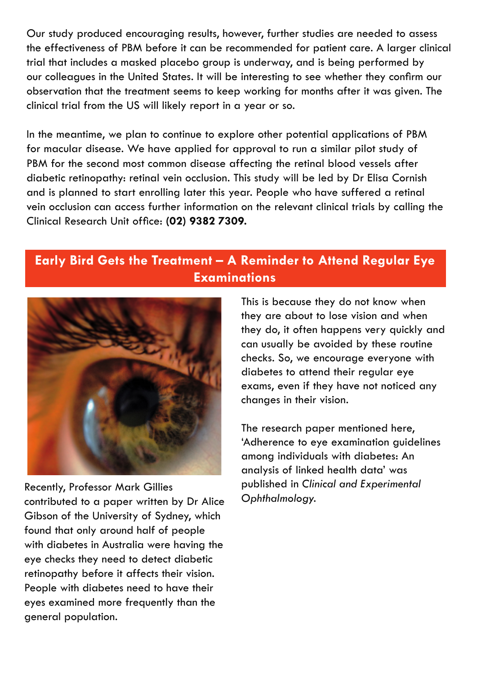Our study produced encouraging results, however, further studies are needed to assess the effectiveness of PBM before it can be recommended for patient care. A larger clinical trial that includes a masked placebo group is underway, and is being performed by our colleagues in the United States. It will be interesting to see whether they confirm our observation that the treatment seems to keep working for months after it was given. The clinical trial from the US will likely report in a year or so.

In the meantime, we plan to continue to explore other potential applications of PBM for macular disease. We have applied for approval to run a similar pilot study of PBM for the second most common disease affecting the retinal blood vessels after diabetic retinopathy: retinal vein occlusion. This study will be led by Dr Elisa Cornish and is planned to start enrolling later this year. People who have suffered a retinal vein occlusion can access further information on the relevant clinical trials by calling the Clinical Research Unit office: **(02) 9382 7309.**

## **Early Bird Gets the Treatment – A Reminder to Attend Regular Eye Examinations**



Recently, Professor Mark Gillies contributed to a paper written by Dr Alice Gibson of the University of Sydney, which found that only around half of people with diabetes in Australia were having the eye checks they need to detect diabetic retinopathy before it affects their vision. People with diabetes need to have their eyes examined more frequently than the general population.

This is because they do not know when they are about to lose vision and when they do, it often happens very quickly and can usually be avoided by these routine checks. So, we encourage everyone with diabetes to attend their regular eye exams, even if they have not noticed any changes in their vision.

The research paper mentioned here, 'Adherence to eye examination guidelines among individuals with diabetes: An analysis of linked health data' was published in *Clinical and Experimental Ophthalmology*.